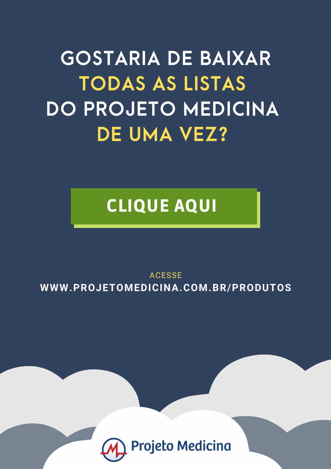# **GOSTARIA DE BAIXAR TODAS AS LISTAS DO PROJETO MEDICINA DE UMA VEZ?**

## CLIQUE AQUI

ACESSE **[WWW.PROJETOMEDICINA.COM.BR/PRODUTOS](https://projetomedicina.com.br/produtos/?utm_source=projetomedicina&utm_medium=pdfs&utm_campaign=link_capa_arquivos)**

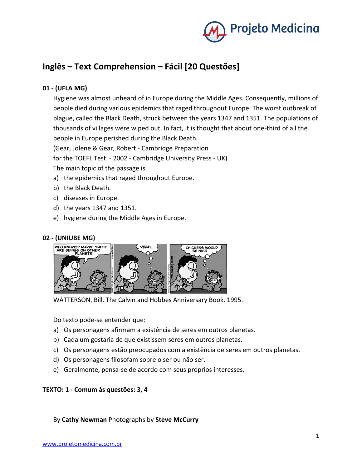

### **Inglês – Text Comprehension – Fácil [20 Questões]**

#### **01 - (UFLA MG)**

Hygiene was almost unheard of in Europe during the Middle Ages. Consequently, millions of people died during various epidemics that raged throughout Europe. The worst outbreak of plague, called the Black Death, struck between the years 1347 and 1351. The populations of thousands of villages were wiped out. In fact, it is thought that about one-third of all the people in Europe perished during the Black Death.

(Gear, Jolene & Gear, Robert - Cambridge Preparation

for the TOEFL Test - 2002 - Cambridge University Press - UK)

The main topic of the passage is

- a) the epidemics that raged throughout Europe.
- b) the Black Death.
- c) diseases in Europe.
- d) the years 1347 and 1351.
- e) hygiene during the Middle Ages in Europe.

#### **02 - (UNIUBE MG)**



WATTERSON, Bill. The Calvin and Hobbes Anniversary Book. 1995.

Do texto pode-se entender que:

- a) Os personagens afirmam a existência de seres em outros planetas.
- b) Cada um gostaria de que existissem seres em outros planetas.
- c) Os personagens estão preocupados com a existência de seres em outros planetas.
- d) Os personagens filosofam sobre o ser ou não ser.
- e) Geralmente, pensa-se de acordo com seus próprios interesses.

#### **TEXTO: 1 - Comum às questões: 3, 4**

By **Cathy Newman** Photographs by **Steve McCurry**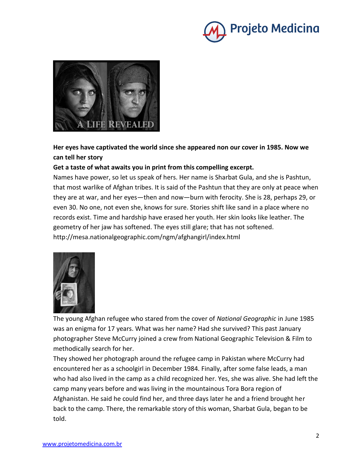



#### **Her eyes have captivated the world since she appeared non our cover in 1985. Now we can tell her story**

#### **Get a taste of what awaits you in print from this compelling excerpt.**

Names have power, so let us speak of hers. Her name is Sharbat Gula, and she is Pashtun, that most warlike of Afghan tribes. It is said of the Pashtun that they are only at peace when they are at war, and her eyes—then and now—burn with ferocity. She is 28, perhaps 29, or even 30. No one, not even she, knows for sure. Stories shift like sand in a place where no records exist. Time and hardship have erased her youth. Her skin looks like leather. The geometry of her jaw has softened. The eyes still glare; that has not softened. http://mesa.nationalgeographic.com/ngm/afghangirl/index.html



The young Afghan refugee who stared from the cover of *National Geographic* in June 1985 was an enigma for 17 years. What was her name? Had she survived? This past January photographer Steve McCurry joined a crew from National Geographic Television & Film to methodically search for her.

They showed her photograph around the refugee camp in Pakistan where McCurry had encountered her as a schoolgirl in December 1984. Finally, after some false leads, a man who had also lived in the camp as a child recognized her. Yes, she was alive. She had left the camp many years before and was living in the mountainous Tora Bora region of Afghanistan. He said he could find her, and three days later he and a friend brought her back to the camp. There, the remarkable story of this woman, Sharbat Gula, began to be told.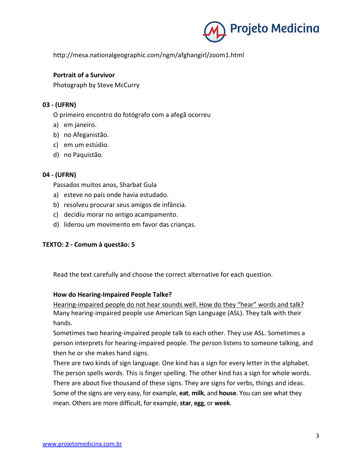

http://mesa.nationalgeographic.com/ngm/afghangirl/zoom1.html

#### **Portrait of a Survivor**

Photograph by Steve McCurry

#### **03 - (UFRN)**

O primeiro encontro do fotógrafo com a afegã ocorreu

- a) em janeiro.
- b) no Afeganistão.
- c) em um estúdio.
- d) no Paquistão.

#### **04 - (UFRN)**

Passados muitos anos, Sharbat Gula

- a) esteve no país onde havia estudado.
- b) resolveu procurar seus amigos de infância.
- c) decidiu morar no antigo acampamento.
- d) liderou um movimento em favor das crianças.

#### **TEXTO: 2 - Comum à questão: 5**

Read the text carefully and choose the correct alternative for each question.

#### **How do Hearing-Impaired People Talke?**

Hearing-impaired people do not hear sounds well. How do they "hear" words and talk? Many hearing-impaired people use American Sign Language (ASL). They talk with their hands.

Sometimes two hearing-impaired people talk to each other. They use ASL. Sometimes a person interprets for hearing-impaired people. The person listens to someone talking, and then he or she makes hand signs.

There are two kinds of sign language. One kind has a sign for every letter in the alphabet. The person spells words. This is finger spelling. The other kind has a sign for whole words. There are about five thousand of these signs. They are signs for verbs, things and ideas. Some of the signs are very easy, for example, **eat**, **milk**, and **house**. You can see what they mean. Others are more difficult, for example, **star**, **egg**, or **week**.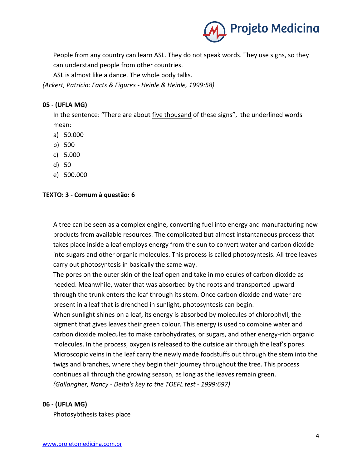

People from any country can learn ASL. They do not speak words. They use signs, so they can understand people from other countries.

ASL is almost like a dance. The whole body talks.

*(Ackert, Patricia: Facts & Figures - Heinle & Heinle, 1999:58)*

#### **05 - (UFLA MG)**

In the sentence: "There are about five thousand of these signs", the underlined words mean:

- a) 50.000
- b) 500
- c) 5.000
- d) 50
- e) 500.000

#### **TEXTO: 3 - Comum à questão: 6**

A tree can be seen as a complex engine, converting fuel into energy and manufacturing new products from available resources. The complicated but almost instantaneous process that takes place inside a leaf employs energy from the sun to convert water and carbon dioxide into sugars and other organic molecules. This process is called photosyntesis. All tree leaves carry out photosyntesis in basically the same way.

The pores on the outer skin of the leaf open and take in molecules of carbon dioxide as needed. Meanwhile, water that was absorbed by the roots and transported upward through the trunk enters the leaf through its stem. Once carbon dioxide and water are present in a leaf that is drenched in sunlight, photosyntesis can begin.

When sunlight shines on a leaf, its energy is absorbed by molecules of chlorophyll, the pigment that gives leaves their green colour. This energy is used to combine water and carbon dioxide molecules to make carbohydrates, or sugars, and other energy-rich organic molecules. In the process, oxygen is released to the outside air through the leaf's pores. Microscopic veins in the leaf carry the newly made foodstuffs out through the stem into the twigs and branches, where they begin their journey throughout the tree. This process continues all through the growing season, as long as the leaves remain green. *(Gallangher, Nancy - Delta's key to the TOEFL test - 1999:697)*

#### **06 - (UFLA MG)**

Photosybthesis takes place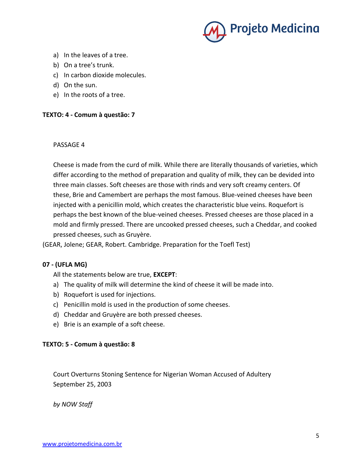

- a) In the leaves of a tree.
- b) On a tree's trunk.
- c) In carbon dioxide molecules.
- d) On the sun.
- e) In the roots of a tree.

#### **TEXTO: 4 - Comum à questão: 7**

#### PASSAGE 4

Cheese is made from the curd of milk. While there are literally thousands of varieties, which differ according to the method of preparation and quality of milk, they can be devided into three main classes. Soft cheeses are those with rinds and very soft creamy centers. Of these, Brie and Camembert are perhaps the most famous. Blue-veined cheeses have been injected with a penicillin mold, which creates the characteristic blue veins. Roquefort is perhaps the best known of the blue-veined cheeses. Pressed cheeses are those placed in a mold and firmly pressed. There are uncooked pressed cheeses, such a Cheddar, and cooked pressed cheeses, such as Gruyère.

(GEAR, Jolene; GEAR, Robert. Cambridge. Preparation for the Toefl Test)

#### **07 - (UFLA MG)**

All the statements below are true, **EXCEPT**:

- a) The quality of milk will determine the kind of cheese it will be made into.
- b) Roquefort is used for injections.
- c) Penicillin mold is used in the production of some cheeses.
- d) Cheddar and Gruyère are both pressed cheeses.
- e) Brie is an example of a soft cheese.

#### **TEXTO: 5 - Comum à questão: 8**

Court Overturns Stoning Sentence for Nigerian Woman Accused of Adultery September 25, 2003

*by NOW Staff*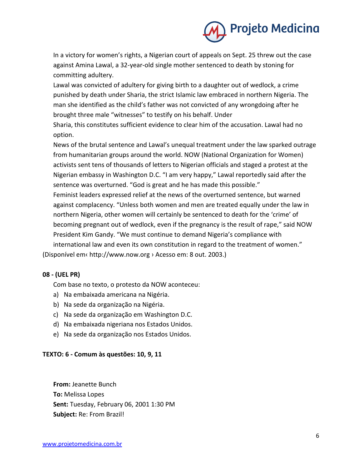

In a victory for women's rights, a Nigerian court of appeals on Sept. 25 threw out the case against Amina Lawal, a 32-year-old single mother sentenced to death by stoning for committing adultery.

Lawal was convicted of adultery for giving birth to a daughter out of wedlock, a crime punished by death under Sharia, the strict Islamic law embraced in northern Nigeria. The man she identified as the child's father was not convicted of any wrongdoing after he brought three male "witnesses" to testify on his behalf. Under

Sharia, this constitutes sufficient evidence to clear him of the accusation. Lawal had no option.

News of the brutal sentence and Lawal's unequal treatment under the law sparked outrage from humanitarian groups around the world. NOW (National Organization for Women) activists sent tens of thousands of letters to Nigerian officials and staged a protest at the Nigerian embassy in Washington D.C. "I am very happy," Lawal reportedly said after the sentence was overturned. "God is great and he has made this possible."

Feminist leaders expressed relief at the news of the overturned sentence, but warned against complacency. "Unless both women and men are treated equally under the law in northern Nigeria, other women will certainly be sentenced to death for the 'crime' of becoming pregnant out of wedlock, even if the pregnancy is the result of rape," said NOW President Kim Gandy. "We must continue to demand Nigeria's compliance with international law and even its own constitution in regard to the treatment of women." (Disponível em‹ http://www.now.org › Acesso em: 8 out. 2003.)

#### **08 - (UEL PR)**

Com base no texto, o protesto da NOW aconteceu:

- a) Na embaixada americana na Nigéria.
- b) Na sede da organização na Nigéria.
- c) Na sede da organização em Washington D.C.
- d) Na embaixada nigeriana nos Estados Unidos.
- e) Na sede da organização nos Estados Unidos.

#### **TEXTO: 6 - Comum às questões: 10, 9, 11**

**From:** Jeanette Bunch **To:** Melissa Lopes **Sent:** Tuesday, February 06, 2001 1:30 PM **Subject:** Re: From Brazil!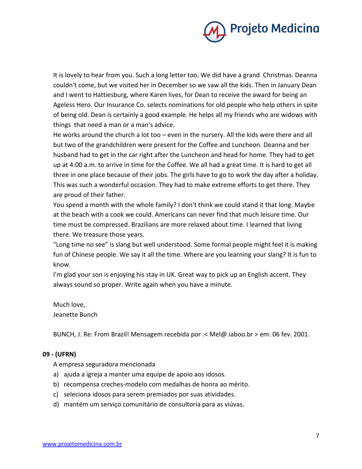

It is lovely to hear from you. Such a long letter too. We did have a grand Christmas. Deanna couldn't come, but we visited her in December so we saw all the kids. Then in January Dean and I went to Hattiesburg, where Karen lives, for Dean to receive the award for being an Ageless Hero. Our Insurance Co. selects nominations for old people who help others in spite of being old. Dean is certainly a good example. He helps all my friends who are widows with things that need a man or a man's advice.

He works around the church a lot too – even in the nursery. All the kids were there and all but two of the grandchildren were present for the Coffee and Luncheon. Deanna and her husband had to get in the car right after the Luncheon and head for home. They had to get up at 4:00 a.m. to arrive in time for the Coffee. We all had a great time. It is hard to get all three in one place because of their jobs. The girls have to go to work the day after a holiday. This was such a wonderful occasion. They had to make extreme efforts to get there. They are proud of their father.

You spend a month with the whole family? I don't think we could stand it that long. Maybe at the beach with a cook we could. Americans can never find that much leisure time. Our time must be compressed. Brazilians are more relaxed about time. I learned that living there. We treasure those years.

"Long time no see" is slang but well understood. Some formal people might feel it is making fun of Chinese people. We say it all the time. Where are you learning your slang? It is fun to know.

I'm glad your son is enjoying his stay in UK. Great way to pick up an English accent. They always sound so proper. Write again when you have a minute.

Much love, Jeanette Bunch

BUNCH, J. Re: From Brazil! Mensagem recebida por :< Mel@.iaboo.br > em: 06 fev. 2001.

#### **09 - (UFRN)**

A empresa seguradora mencionada

- a) ajuda a igreja a manter uma equipe de apoio aos idosos.
- b) recompensa creches-modelo com medalhas de honra ao mérito.
- c) seleciona idosos para serem premiados por suas atividades.
- d) mantém um serviço comunitário de consultoria para as viúvas.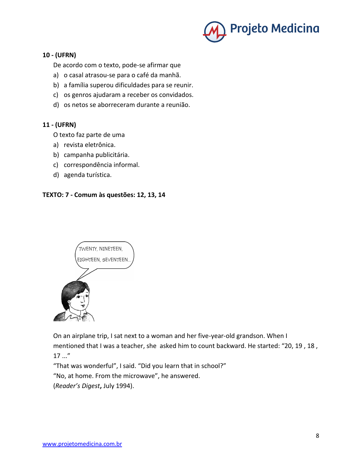

#### **10 - (UFRN)**

De acordo com o texto, pode-se afirmar que

- a) o casal atrasou-se para o café da manhã.
- b) a família superou dificuldades para se reunir.
- c) os genros ajudaram a receber os convidados.
- d) os netos se aborreceram durante a reunião.

#### **11 - (UFRN)**

O texto faz parte de uma

- a) revista eletrônica.
- b) campanha publicitária.
- c) correspondência informal.
- d) agenda turística.

#### **TEXTO: 7 - Comum às questões: 12, 13, 14**



On an airplane trip, I sat next to a woman and her five-year-old grandson. When I mentioned that I was a teacher, she asked him to count backward. He started: "20, 19 , 18 ,  $17...''$ 

"That was wonderful", I said. "Did you learn that in school?" "No, at home. From the microwave", he answered. (*Reader's Digest***,** July 1994).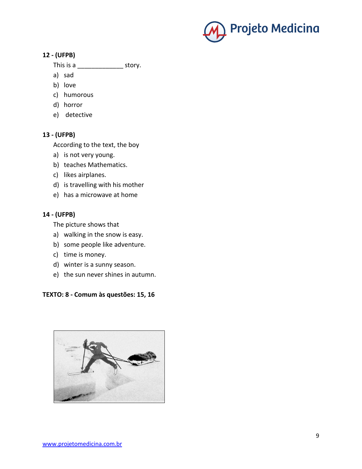

#### **12 - (UFPB)**

- This is a \_\_\_\_\_\_\_\_\_\_\_\_\_\_\_\_\_\_\_\_\_ story.
- a) sad
- b) love
- c) humorous
- d) horror
- e) detective

#### **13 - (UFPB)**

According to the text, the boy

- a) is not very young.
- b) teaches Mathematics.
- c) likes airplanes.
- d) is travelling with his mother
- e) has a microwave at home

#### **14 - (UFPB)**

The picture shows that

- a) walking in the snow is easy.
- b) some people like adventure.
- c) time is money.
- d) winter is a sunny season.
- e) the sun never shines in autumn.

#### **TEXTO: 8 - Comum às questões: 15, 16**

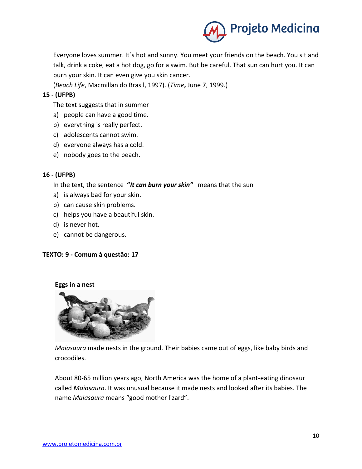

Everyone loves summer. It`s hot and sunny. You meet your friends on the beach. You sit and talk, drink a coke, eat a hot dog, go for a swim. But be careful. That sun can hurt you. It can burn your skin. It can even give you skin cancer.

(*Beach Life*, Macmillan do Brasil, 1997). (*Time***,** June 7, 1999.)

#### **15 - (UFPB)**

The text suggests that in summer

- a) people can have a good time.
- b) everything is really perfect.
- c) adolescents cannot swim.
- d) everyone always has a cold.
- e) nobody goes to the beach.

#### **16 - (UFPB)**

In the text, the sentence **"***It can burn your skin"* means that the sun

- a) is always bad for your skin.
- b) can cause skin problems.
- c) helps you have a beautiful skin.
- d) is never hot.
- e) cannot be dangerous.

#### **TEXTO: 9 - Comum à questão: 17**

#### **Eggs in a nest**



*Maiasaura* made nests in the ground. Their babies came out of eggs, like baby birds and crocodiles.

About 80-65 million years ago, North America was the home of a plant-eating dinosaur called *Maiasaura*. It was unusual because it made nests and looked after its babies. The name *Maiasaura* means "good mother lizard".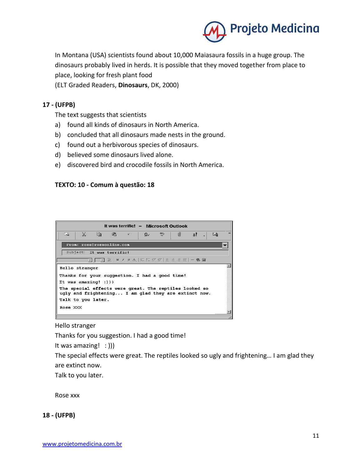

In Montana (USA) scientists found about 10,000 Maiasaura fossils in a huge group. The dinosaurs probably lived in herds. It is possible that they moved together from place to place, looking for fresh plant food

(ELT Graded Readers, **Dinosaurs**, DK, 2000)

#### **17 - (UFPB)**

The text suggests that scientists

- a) found all kinds of dinosaurs in North America.
- b) concluded that all dinosaurs made nests in the ground.
- c) found out a herbivorous species of dinosaurs.
- d) believed some dinosaurs lived alone.
- e) discovered bird and crocodile fossils in North America.

#### **TEXTO: 10 - Comum à questão: 18**



Hello stranger

Thanks for you suggestion. I had a good time!

It was amazing! : )))

The special effects were great. The reptiles looked so ugly and frightening… I am glad they are extinct now.

Talk to you later.

Rose xxx

**18 - (UFPB)**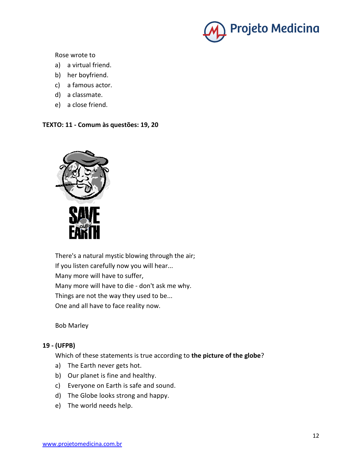

Rose wrote to

- a) a virtual friend.
- b) her boyfriend.
- c) a famous actor.
- d) a classmate.
- e) a close friend.

#### **TEXTO: 11 - Comum às questões: 19, 20**



There's a natural mystic blowing through the air; If you listen carefully now you will hear... Many more will have to suffer, Many more will have to die - don't ask me why. Things are not the way they used to be... One and all have to face reality now.

Bob Marley

#### **19 - (UFPB)**

Which of these statements is true according to **the picture of the globe**?

- a) The Earth never gets hot.
- b) Our planet is fine and healthy.
- c) Everyone on Earth is safe and sound.
- d) The Globe looks strong and happy.
- e) The world needs help.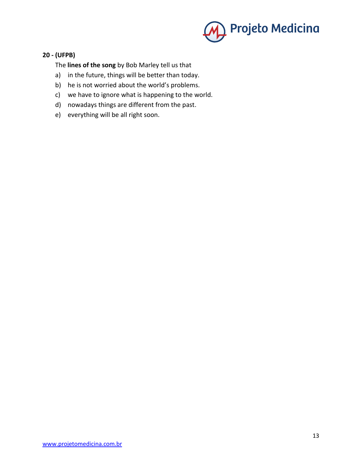

#### **20 - (UFPB)**

The **lines of the song** by Bob Marley tell us that

- a) in the future, things will be better than today.
- b) he is not worried about the world's problems.
- c) we have to ignore what is happening to the world.
- d) nowadays things are different from the past.
- e) everything will be all right soon.